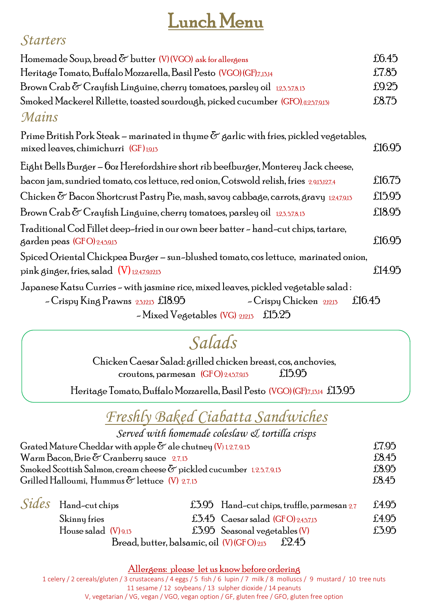# Lunch Menu

#### *Starters*

| Homemade Soup, bread $\delta$ butter (V)(VGO) ask for allergens                                                                                                                                                        |        |  |  |  |
|------------------------------------------------------------------------------------------------------------------------------------------------------------------------------------------------------------------------|--------|--|--|--|
| Heritage Tomato, Buffalo Mozzarella, Basil Pesto (VGO) (GF),7,15,14                                                                                                                                                    | £7.85  |  |  |  |
| Brown Crab $\delta$ Crayfish Linguine, cherry tomatoes, parsley oil $_{123,578,15}$                                                                                                                                    |        |  |  |  |
| Smoked Mackerel Rillette, toasted sourdough, picked cucumber (GFO),(1,2,5,7,9,13)                                                                                                                                      |        |  |  |  |
| Mains                                                                                                                                                                                                                  |        |  |  |  |
| Prime British Pork Steak – marinated in thyme $\sigma$ garlic with fries, pickled vegetables,<br>mixed leaves, chimichurri $(GF)_{1,9,15}$                                                                             | £16.95 |  |  |  |
| Eight Bells Burger – 60z Herefordshire short rib beefburger, Monterey Jack cheese,                                                                                                                                     |        |  |  |  |
| bacon jam, sundried tomato, cos lettuce, red onion, Cotswold relish, fries 2,9,13,12,7,4                                                                                                                               | £16.75 |  |  |  |
| Chicken & Bacon Shortcrust Pastry Pie, mash, savoy cabbage, carrots, gravy 1,2,4,7,9,13                                                                                                                                | £15.95 |  |  |  |
| Brown Crab $\delta$ Crayfish Linguine, cherry tomatoes, parsley oil $_{12,3,5,7,8,13}$                                                                                                                                 | £18.95 |  |  |  |
| Traditional Cod Fillet deep-fried in our own beer batter – hand-cut chips, tartare,<br>$\beta$ arden peas (GFO) 2,4,5,9,13                                                                                             | £16.95 |  |  |  |
| Spiced Oriental Chickpea Burger – sun-blushed tomato, cos lettuce, marinated onion,                                                                                                                                    |        |  |  |  |
| pink ginger, fries, salad $(V)$ 1,2,4,7,9,12,13                                                                                                                                                                        | £14.95 |  |  |  |
| Japanese Katsu Curries – with jasmine rice, mixed leaves, pickled vegetable salad :<br>$-C$ rispy Chicken 2,12,13<br>£16.45<br>- Crispy King Prawns 2,3,12,13 £18.95<br>$\sim$ Mixed Vegetables (VG) 2,12,13<br>£15.25 |        |  |  |  |

## *Salads*

Chicken Caesar Salad: grilled chicken breast, cos, anchovies, croutons, parmesan  $(GFO)$  2,4,5,7,9,15  $£15.95$ 

Heritage Tomato, Buffalo Mozzarella, Basil Pesto (VGO) (GF),7,,13,14 £13.95

## *Freshly Baked Ciabatta Sandwiches*

| Served with homemade coleslaw & tortilla crisps                             |        |
|-----------------------------------------------------------------------------|--------|
| Grated Mature Cheddar with apple $\delta$ ale chutney (V) 1, 2, 7, 9, 13    | £7.95  |
| Warm Bacon, Brie $\delta$ Cranberry sauce 2.7,13                            | f.8.45 |
| Smoked Scottish Salmon, cream cheese $\sigma$ pickled cucumber 1,2,5,7,9,13 | £8.95  |
| Grilled Halloumi, Hummus $\delta$ lettuce (V) 2,7,15                        | f.8.45 |

| $Sides$ Hand-cut chips   |                                           |                                          | £3.95 Hand-cut chips, truffle, parmesan $2.7$ | £4.95 |
|--------------------------|-------------------------------------------|------------------------------------------|-----------------------------------------------|-------|
| Skinny fries             |                                           | £3.45 $\,$ Caesar salad (GFO) 2.4.5.7.13 |                                               | £4.95 |
| House salad $(V)_{9,15}$ |                                           | $£3.95$ Seasonal vegetables $(V)$        |                                               | £3.95 |
|                          | Bread, butter, balsamic, oil (V)(GFO)2,13 |                                          | £2.45                                         |       |

Allergens: please let us know before ordering

1 celery / 2 cereals/gluten / 3 crustaceans / 4 eggs / 5 fish / 6 lupin / 7 milk / 8 molluscs / 9 mustard / 10 tree nuts 11 sesame / 12 soybeans / 13 sulpher dioxide / 14 peanuts V, vegetarian / VG, vegan / VGO, vegan option / GF, gluten free / GFO, gluten free option